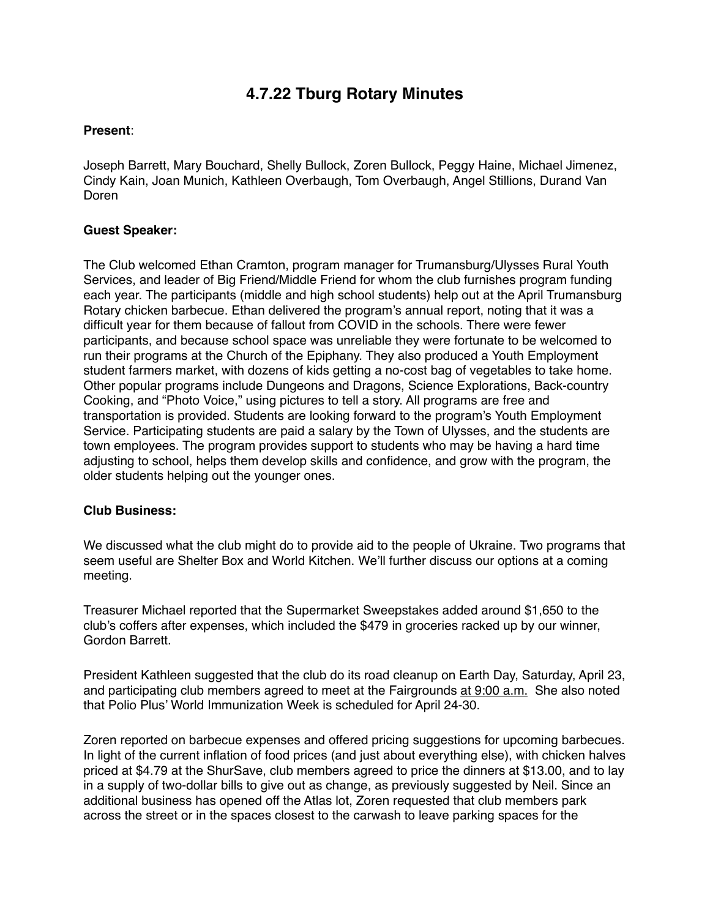# **4.7.22 Tburg Rotary Minutes**

# **Present**:

Joseph Barrett, Mary Bouchard, Shelly Bullock, Zoren Bullock, Peggy Haine, Michael Jimenez, Cindy Kain, Joan Munich, Kathleen Overbaugh, Tom Overbaugh, Angel Stillions, Durand Van Doren

# **Guest Speaker:**

The Club welcomed Ethan Cramton, program manager for Trumansburg/Ulysses Rural Youth Services, and leader of Big Friend/Middle Friend for whom the club furnishes program funding each year. The participants (middle and high school students) help out at the April Trumansburg Rotary chicken barbecue. Ethan delivered the program's annual report, noting that it was a difficult year for them because of fallout from COVID in the schools. There were fewer participants, and because school space was unreliable they were fortunate to be welcomed to run their programs at the Church of the Epiphany. They also produced a Youth Employment student farmers market, with dozens of kids getting a no-cost bag of vegetables to take home. Other popular programs include Dungeons and Dragons, Science Explorations, Back-country Cooking, and "Photo Voice," using pictures to tell a story. All programs are free and transportation is provided. Students are looking forward to the program's Youth Employment Service. Participating students are paid a salary by the Town of Ulysses, and the students are town employees. The program provides support to students who may be having a hard time adjusting to school, helps them develop skills and confidence, and grow with the program, the older students helping out the younger ones.

### **Club Business:**

We discussed what the club might do to provide aid to the people of Ukraine. Two programs that seem useful are Shelter Box and World Kitchen. We'll further discuss our options at a coming meeting.

Treasurer Michael reported that the Supermarket Sweepstakes added around \$1,650 to the club's coffers after expenses, which included the \$479 in groceries racked up by our winner, Gordon Barrett.

President Kathleen suggested that the club do its road cleanup on Earth Day, Saturday, April 23, and participating club members agreed to meet at the Fairgrounds at 9:00 a.m. She also noted that Polio Plus' World Immunization Week is scheduled for April 24-30.

Zoren reported on barbecue expenses and offered pricing suggestions for upcoming barbecues. In light of the current inflation of food prices (and just about everything else), with chicken halves priced at \$4.79 at the ShurSave, club members agreed to price the dinners at \$13.00, and to lay in a supply of two-dollar bills to give out as change, as previously suggested by Neil. Since an additional business has opened off the Atlas lot, Zoren requested that club members park across the street or in the spaces closest to the carwash to leave parking spaces for the